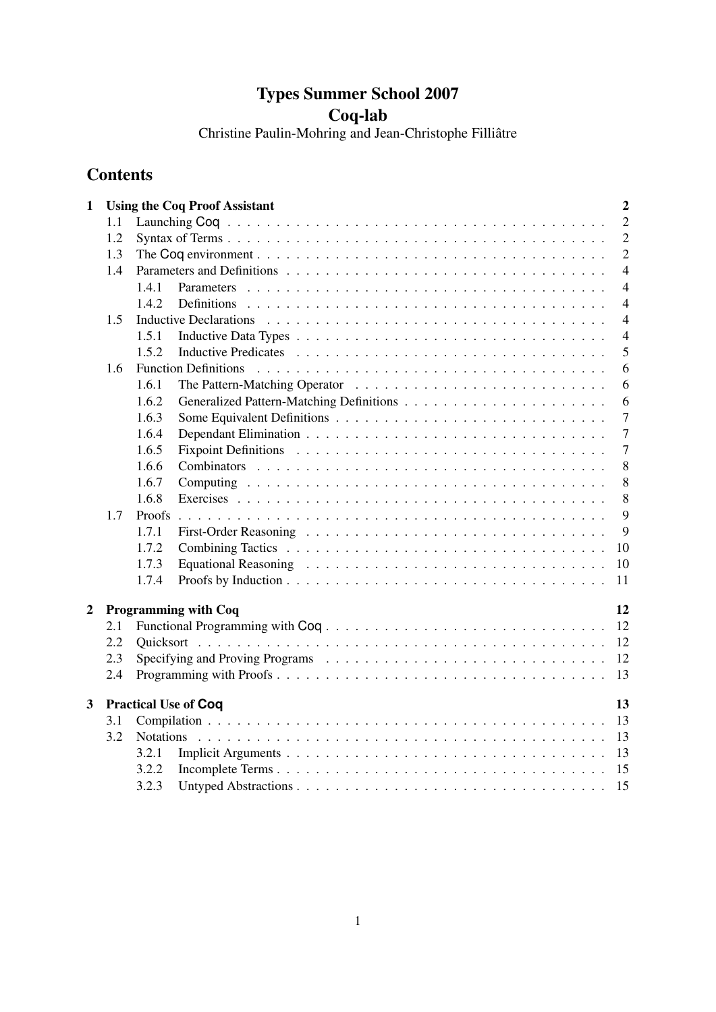# Types Summer School 2007 Coq-lab

Christine Paulin-Mohring and Jean-Christophe Filliâtre

# **Contents**

| $\mathbf{1}$   |     | $\overline{2}$<br><b>Using the Coq Proof Assistant</b> |
|----------------|-----|--------------------------------------------------------|
|                | 1.1 | $\overline{2}$                                         |
|                | 1.2 | $\overline{2}$                                         |
|                | 1.3 | $\overline{2}$                                         |
|                | 1.4 | $\overline{4}$                                         |
|                |     | $\overline{4}$<br>1.4.1                                |
|                |     | $\overline{4}$<br>1.4.2                                |
|                | 1.5 | $\overline{4}$                                         |
|                |     | $\overline{4}$<br>1.5.1                                |
|                |     | 5<br>1.5.2                                             |
|                | 1.6 | 6<br><b>Function Definitions</b>                       |
|                |     | 1.6.1<br>6                                             |
|                |     | 6<br>1.6.2                                             |
|                |     | $\overline{7}$<br>1.6.3                                |
|                |     | $\overline{7}$<br>1.6.4                                |
|                |     | $\overline{7}$<br>1.6.5                                |
|                |     | 8<br>1.6.6                                             |
|                |     | 1.6.7<br>8                                             |
|                |     | 1.6.8<br>8                                             |
|                | 1.7 | 9<br>Proofs                                            |
|                |     | 1.7.1<br>9                                             |
|                |     | 10<br>1.7.2                                            |
|                |     | 1.7.3<br>10                                            |
|                |     | 1.7.4<br>11                                            |
|                |     |                                                        |
| $\overline{2}$ |     | <b>Programming with Coq</b><br>12                      |
|                | 2.1 | Functional Programming with Coq<br>12                  |
|                | 2.2 | 12<br>Quicksort                                        |
|                | 2.3 | 12                                                     |
|                | 2.4 | 13                                                     |
| $\overline{3}$ |     | <b>Practical Use of Coq</b><br>13                      |
|                | 3.1 | 13                                                     |
|                | 3.2 | 13<br><b>Notations</b>                                 |
|                |     | 3.2.1<br>13                                            |
|                |     | 3.2.2<br>15                                            |
|                |     | 3.2.3<br>15                                            |
|                |     |                                                        |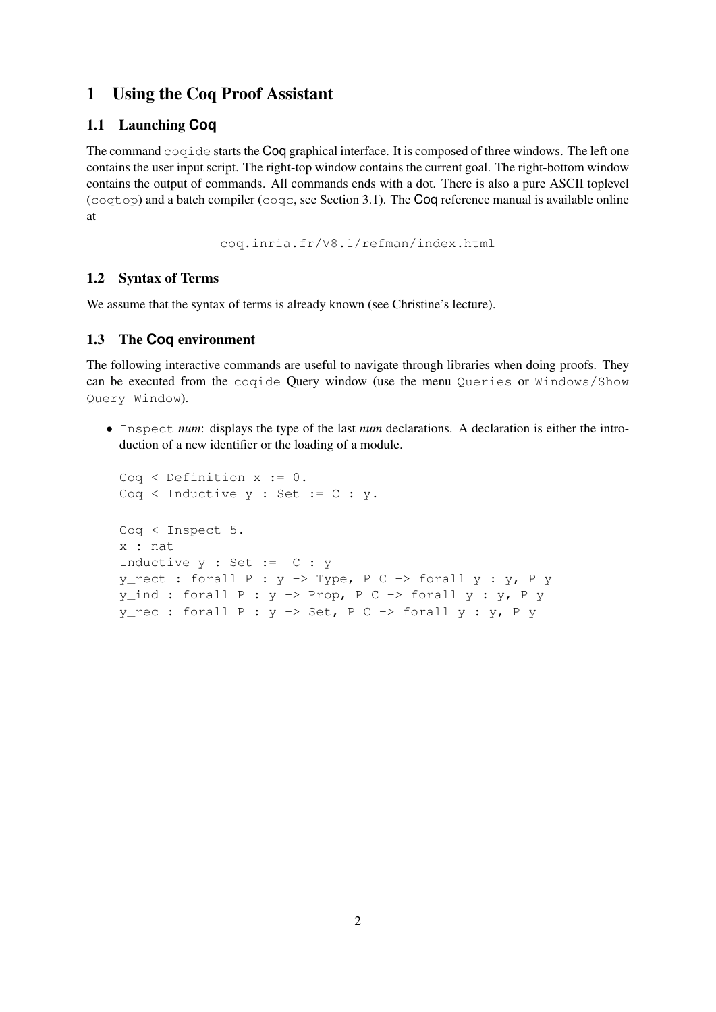# 1 Using the Coq Proof Assistant

## 1.1 Launching **Coq**

The command coqide starts the Coq graphical interface. It is composed of three windows. The left one contains the user input script. The right-top window contains the current goal. The right-bottom window contains the output of commands. All commands ends with a dot. There is also a pure ASCII toplevel  $(coqtop)$  and a batch compiler  $(coqc, see Section 3.1)$ . The Coq reference manual is available online at

coq.inria.fr/V8.1/refman/index.html

## 1.2 Syntax of Terms

We assume that the syntax of terms is already known (see Christine's lecture).

## 1.3 The **Coq** environment

The following interactive commands are useful to navigate through libraries when doing proofs. They can be executed from the coqide Query window (use the menu Queries or Windows/Show Query Window).

• Inspect *num*: displays the type of the last *num* declarations. A declaration is either the introduction of a new identifier or the loading of a module.

```
Coq < Definition x := 0.
Cog \le Inductive \ y : Set := C : y.Coq < Inspect 5.
x : nat
Inductive y : Set := C : y
y\_rect: forall P : y \rightarrow Type, P C -> forall y : y, P yy\_ind: forall P : y \rightarrow Prop, P C -> forall y : y, P yy_rec : forall P : y \rightarrow Set, P C -> forall y : y, P y
```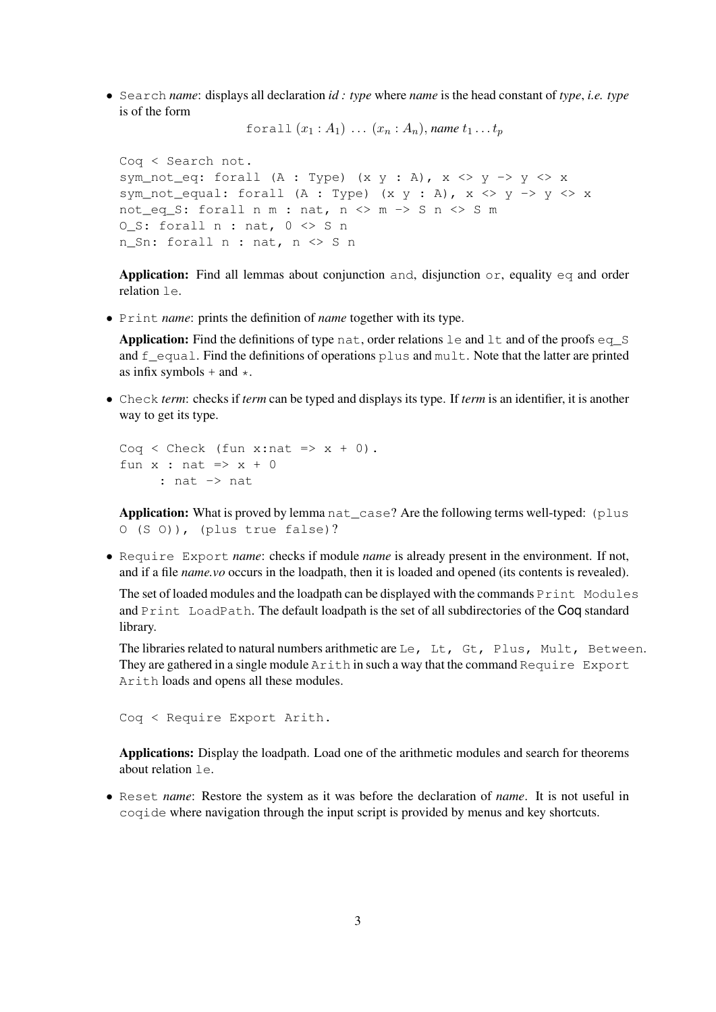• Search *name*: displays all declaration *id : type* where *name* is the head constant of *type*, *i.e. type* is of the form

forall  $(x_1 : A_1) \ldots (x_n : A_n)$ , *name*  $t_1 \ldots t_n$ 

Coq < Search not. sym\_not\_eq: forall (A : Type) (x y : A),  $x \iff y \implies y \iff x$ sym\_not\_equal: forall (A : Type) (x y : A), x <> y -> y <> x not\_eq\_S: forall  $n \text{ m}$  : nat,  $n \text{  m

 -> S n  s m$ O S: forall  $n$  : nat,  $0 \leq S$  n n\_Sn: forall n : nat, n <> S n

Application: Find all lemmas about conjunction and, disjunction or, equality eq and order relation le.

• Print *name*: prints the definition of *name* together with its type.

**Application:** Find the definitions of type nat, order relations  $l$  e and  $l$ t and of the proofs eq  $S$ and  $f_{\text{equal}}$ . Find the definitions of operations plus and mult. Note that the latter are printed as infix symbols  $+$  and  $\star$ .

• Check *term*: checks if *term* can be typed and displays its type. If *term* is an identifier, it is another way to get its type.

```
Coq < Check (fun x:nat => x + 0).
fun x : nat \Rightarrow x + 0: nat -> nat
```
Application: What is proved by lemma nat\_case? Are the following terms well-typed: (plus O (S O)), (plus true false)?

• Require Export *name*: checks if module *name* is already present in the environment. If not, and if a file *name.vo* occurs in the loadpath, then it is loaded and opened (its contents is revealed).

The set of loaded modules and the loadpath can be displayed with the commands  $Print$  Modules and Print LoadPath. The default loadpath is the set of all subdirectories of the Coq standard library.

The libraries related to natural numbers arithmetic are Le, Lt, Gt, Plus, Mult, Between. They are gathered in a single module  $Arith$  in such a way that the command Require Export Arith loads and opens all these modules.

Coq < Require Export Arith.

Applications: Display the loadpath. Load one of the arithmetic modules and search for theorems about relation le.

• Reset *name*: Restore the system as it was before the declaration of *name*. It is not useful in coqide where navigation through the input script is provided by menus and key shortcuts.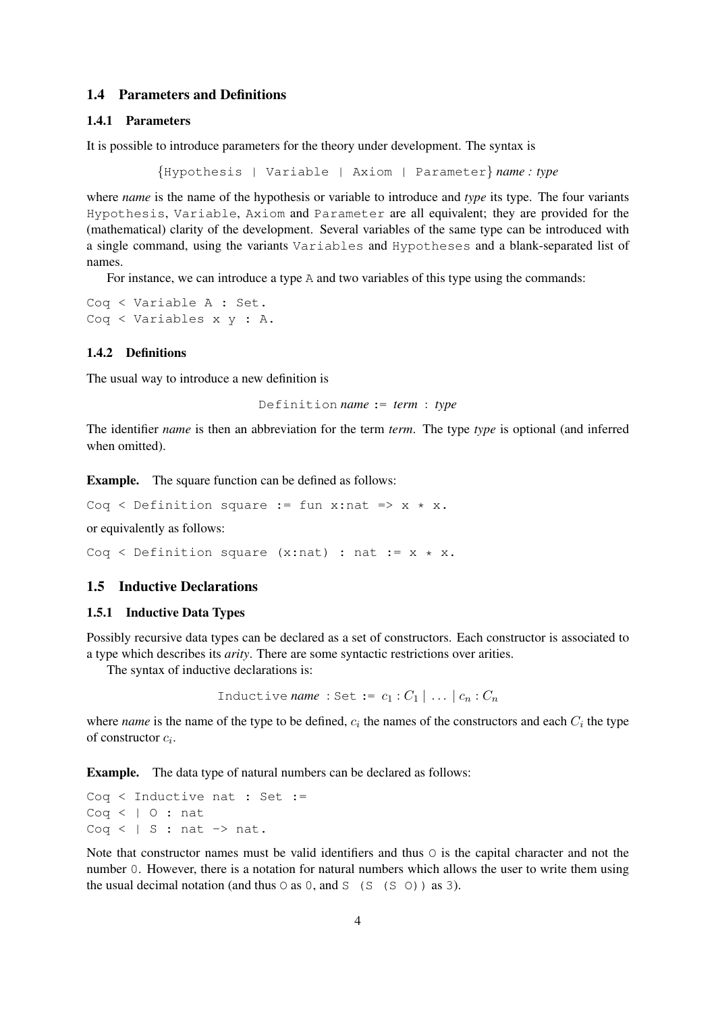## 1.4 Parameters and Definitions

#### 1.4.1 Parameters

It is possible to introduce parameters for the theory under development. The syntax is

{Hypothesis | Variable | Axiom | Parameter} *name : type*

where *name* is the name of the hypothesis or variable to introduce and *type* its type. The four variants Hypothesis, Variable, Axiom and Parameter are all equivalent; they are provided for the (mathematical) clarity of the development. Several variables of the same type can be introduced with a single command, using the variants Variables and Hypotheses and a blank-separated list of names.

For instance, we can introduce a type A and two variables of this type using the commands:

Coq < Variable A : Set. Coq < Variables x y : A.

#### 1.4.2 Definitions

The usual way to introduce a new definition is

Definition *name* := *term* : *type*

The identifier *name* is then an abbreviation for the term *term*. The type *type* is optional (and inferred when omitted).

Example. The square function can be defined as follows:

Coq < Definition square := fun x:nat =>  $x * x$ .

or equivalently as follows:

Coq < Definition square  $(x:nat)$  : nat :=  $x * x$ .

## 1.5 Inductive Declarations

#### 1.5.1 Inductive Data Types

Possibly recursive data types can be declared as a set of constructors. Each constructor is associated to a type which describes its *arity*. There are some syntactic restrictions over arities.

The syntax of inductive declarations is:

```
Inductive name : Set := c_1 : C_1 | ... |c_n : C_n
```
where *name* is the name of the type to be defined,  $c_i$  the names of the constructors and each  $C_i$  the type of constructor  $c_i$ .

Example. The data type of natural numbers can be declared as follows:

Coq < Inductive nat : Set :=  $Coq \leq 10$ : nat Coq <  $| S : nat \rightarrow nat.$ 

Note that constructor names must be valid identifiers and thus  $\circ$  is the capital character and not the number 0. However, there is a notation for natural numbers which allows the user to write them using the usual decimal notation (and thus  $\circ$  as  $\circ$ , and  $\circ$  ( $\circ$  ( $\circ$ )) as 3).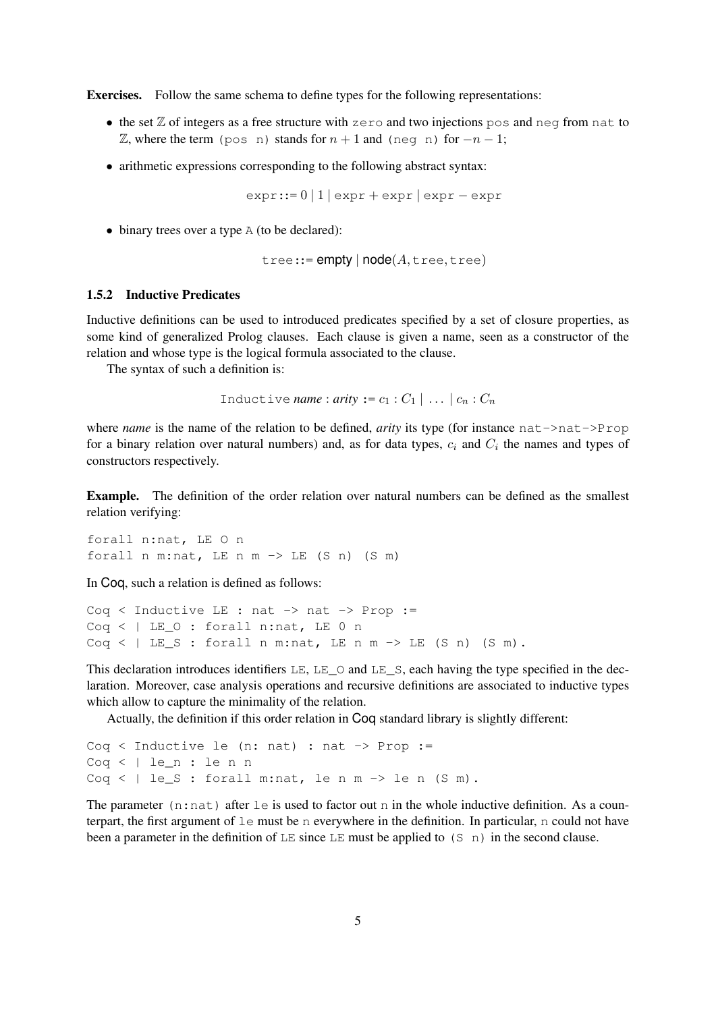Exercises. Follow the same schema to define types for the following representations:

- $\bullet$  the set  $\mathbb Z$  of integers as a free structure with zero and two injections pos and neg from nat to  $\mathbb{Z}$ , where the term (pos n) stands for  $n + 1$  and (neg n) for  $-n - 1$ ;
- arithmetic expressions corresponding to the following abstract syntax:

 $expr::= 0 \mid 1 \mid expr + expr \mid expr - expr$ 

• binary trees over a type A (to be declared):

 $tree::=empty | node(A,tree,tree)$ 

## 1.5.2 Inductive Predicates

Inductive definitions can be used to introduced predicates specified by a set of closure properties, as some kind of generalized Prolog clauses. Each clause is given a name, seen as a constructor of the relation and whose type is the logical formula associated to the clause.

The syntax of such a definition is:

```
Inductive name : arity := c_1 : C_1 | ... | c_n : C_n
```
where *name* is the name of the relation to be defined, *arity* its type (for instance nat->nat->Prop for a binary relation over natural numbers) and, as for data types,  $c_i$  and  $C_i$  the names and types of constructors respectively.

Example. The definition of the order relation over natural numbers can be defined as the smallest relation verifying:

forall n:nat, LE O n forall n m:nat, LE n m  $\rightarrow$  LE (S n) (S m)

In Coq, such a relation is defined as follows:

```
Coq < Inductive LE : nat \rightarrow nat \rightarrow Prop :=
Coq < | LE_O : forall n:nat, LE 0 n
Coq \lt | LE_S : forall n m:nat, LE n m -> LE (S n) (S m).
```
This declaration introduces identifiers LE, LE\_O and LE\_S, each having the type specified in the declaration. Moreover, case analysis operations and recursive definitions are associated to inductive types which allow to capture the minimality of the relation.

Actually, the definition if this order relation in Coq standard library is slightly different:

```
Coq < Inductive le (n: nat) : nat \rightarrow Prop :=
Coq < | le_n : le n n
Coq < | le_S : forall m:nat, le n m \rightarrow le n (S m).
```
The parameter  $(n:nat)$  after le is used to factor out n in the whole inductive definition. As a counterpart, the first argument of le must be n everywhere in the definition. In particular, n could not have been a parameter in the definition of LE since LE must be applied to  $(S \nvert n)$  in the second clause.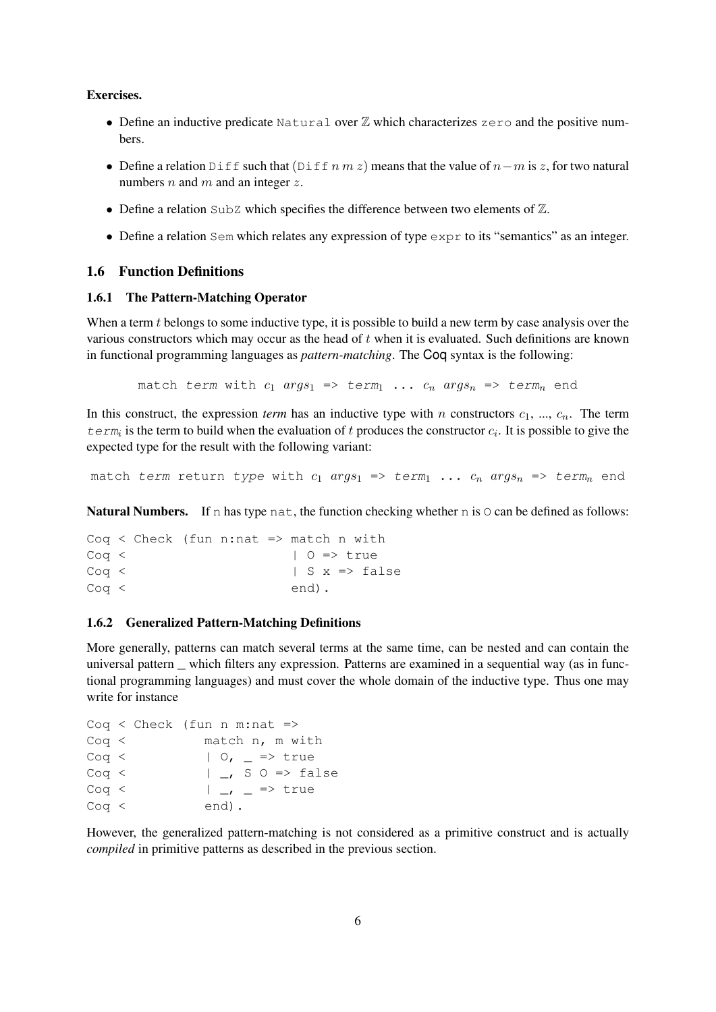### Exercises.

- Define an inductive predicate  $Natural \nvert \Delta$  which characterizes zero and the positive numbers.
- Define a relation Diff such that  $(Diff n \, m \, z)$  means that the value of  $n-m$  is z, for two natural numbers  $n$  and  $m$  and an integer  $z$ .
- Define a relation  $\text{SubZ}$  which specifies the difference between two elements of  $\mathbb{Z}$ .
- Define a relation Sem which relates any expression of type  $\epsilon_{\text{XPT}}$  to its "semantics" as an integer.

## 1.6 Function Definitions

#### 1.6.1 The Pattern-Matching Operator

When a term t belongs to some inductive type, it is possible to build a new term by case analysis over the various constructors which may occur as the head of t when it is evaluated. Such definitions are known in functional programming languages as *pattern-matching*. The Coq syntax is the following:

match term with  $c_1$  args<sub>1</sub> => term<sub>1</sub> ...  $c_n$  args<sub>n</sub> => term<sub>n</sub> end

In this construct, the expression *term* has an inductive type with n constructors  $c_1, ..., c_n$ . The term  $\text{term}_i$  is the term to build when the evaluation of t produces the constructor  $c_i$ . It is possible to give the expected type for the result with the following variant:

match term return type with  $c_1$  args<sub>1</sub> => term<sub>1</sub> ...  $c_n$  args<sub>n</sub> => term<sub>n</sub> end

Natural Numbers. If n has type nat, the function checking whether n is  $\circ$  can be defined as follows:

```
Coq < Check (fun n:nat => match n with
Cog < | 0 \Rightarrow trueCog < | S x => falseCoq < end).
```
#### 1.6.2 Generalized Pattern-Matching Definitions

More generally, patterns can match several terms at the same time, can be nested and can contain the universal pattern \_ which filters any expression. Patterns are examined in a sequential way (as in functional programming languages) and must cover the whole domain of the inductive type. Thus one may write for instance

```
Coq < Check (fun n m:nat \RightarrowCoq < match n, m with
Cog < | 0, | = > trueCog < | K = S S \ni S false
Cog < | _{-1} = > trueCoq < end).
```
However, the generalized pattern-matching is not considered as a primitive construct and is actually *compiled* in primitive patterns as described in the previous section.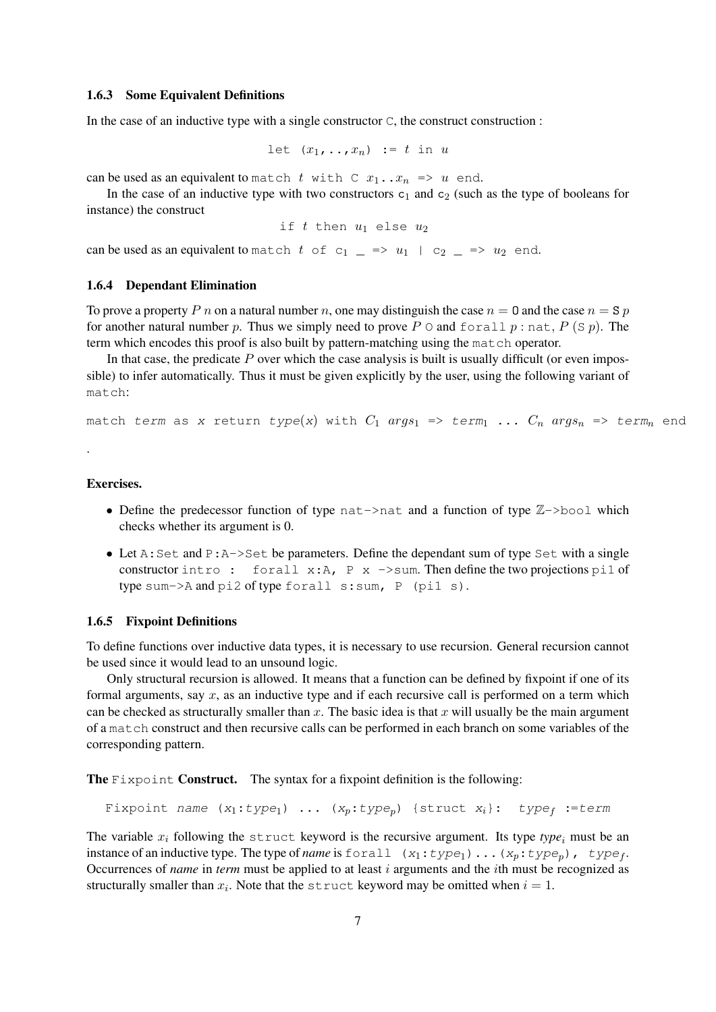## 1.6.3 Some Equivalent Definitions

In the case of an inductive type with a single constructor  $C$ , the construct construction :

```
let (x_1, \ldots, x_n) := t in u
```
can be used as an equivalent to match t with C  $x_1 \ldots x_n \implies u$  end.

In the case of an inductive type with two constructors  $c_1$  and  $c_2$  (such as the type of booleans for instance) the construct

if t then  $u_1$  else  $u_2$ 

can be used as an equivalent to match t of  $c_1 = \ge u_1 + c_2 = \ge u_2$  end.

## 1.6.4 Dependant Elimination

To prove a property P n on a natural number n, one may distinguish the case  $n = 0$  and the case  $n = S p$ for another natural number p. Thus we simply need to prove P  $\circ$  and forall p : nat, P (S p). The term which encodes this proof is also built by pattern-matching using the match operator.

In that case, the predicate  $P$  over which the case analysis is built is usually difficult (or even impossible) to infer automatically. Thus it must be given explicitly by the user, using the following variant of match:

match term as x return type(x) with  $C_1$  args<sub>1</sub> => term<sub>1</sub> ...  $C_n$  args<sub>n</sub> => term<sub>n</sub> end

## Exercises.

.

- Define the predecessor function of type nat->nat and a function of type  $\mathbb{Z}-$ >bool which checks whether its argument is 0.
- Let  $A: Set$  and  $P: A \rightarrow Set$  be parameters. Define the dependant sum of type Set with a single constructor intro: forall x:A,  $P \times -\infty$  - Then define the two projections pil of type sum- $\geq$ A and pi2 of type forall s:sum, P (pi1 s).

#### 1.6.5 Fixpoint Definitions

To define functions over inductive data types, it is necessary to use recursion. General recursion cannot be used since it would lead to an unsound logic.

Only structural recursion is allowed. It means that a function can be defined by fixpoint if one of its formal arguments, say  $x$ , as an inductive type and if each recursive call is performed on a term which can be checked as structurally smaller than x. The basic idea is that x will usually be the main argument of a match construct and then recursive calls can be performed in each branch on some variables of the corresponding pattern.

The Fixpoint Construct. The syntax for a fixpoint definition is the following:

```
Fixpoint name (x_1:type_1) ... (x_n:type_n) {struct x_i}: type<sub>f</sub> :=term
```
The variable  $x_i$  following the struct keyword is the recursive argument. Its type  $type_i$  must be an instance of an inductive type. The type of *name* is  $forall 1 : type_1) \dots (x_p : type_p)$ ,  $type_f$ . Occurrences of *name* in *term* must be applied to at least i arguments and the ith must be recognized as structurally smaller than  $x_i$ . Note that the struct keyword may be omitted when  $i = 1$ .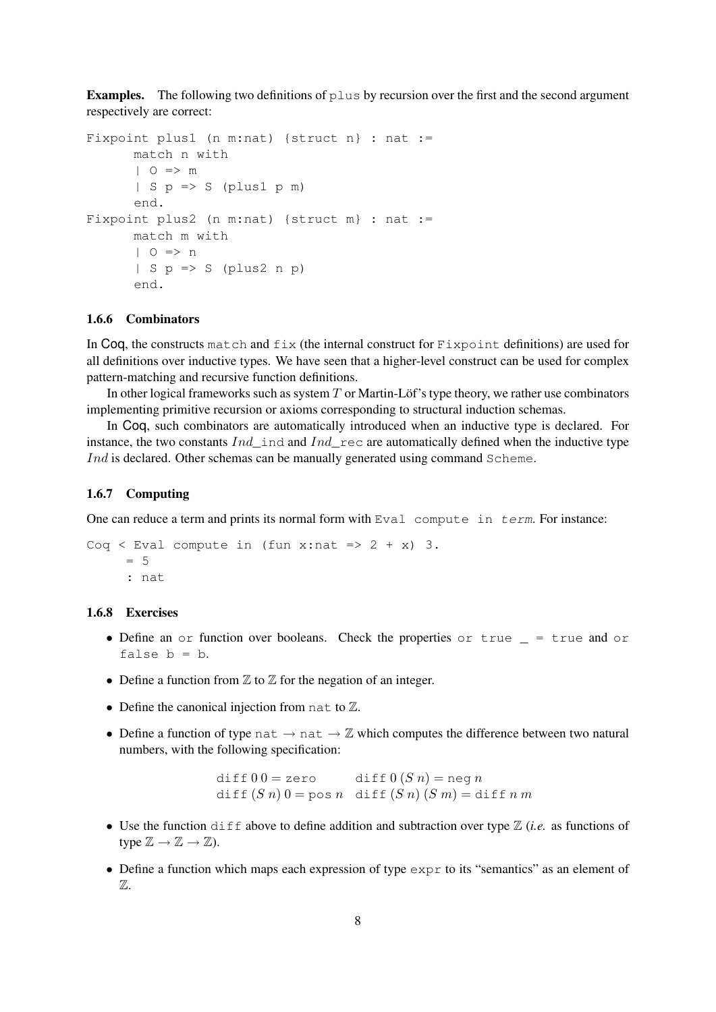**Examples.** The following two definitions of  $p \text{lus}$  by recursion over the first and the second argument respectively are correct:

```
Fixpoint plus1 (n m:nat) {struct n} : nat :=
      match n with
      | O => m
      | S p \Rightarrow S (plus1 p m)
      end.
Fixpoint plus2 (n m:nat) {struct m} : nat :=
      match m with
      | 0 \implies n| S p => S (plus2 n p)
      end.
```
## 1.6.6 Combinators

In Coq, the constructs match and  $fix$  (the internal construct for Fixpoint definitions) are used for all definitions over inductive types. We have seen that a higher-level construct can be used for complex pattern-matching and recursive function definitions.

In other logical frameworks such as system  $T$  or Martin-Löf's type theory, we rather use combinators implementing primitive recursion or axioms corresponding to structural induction schemas.

In Coq, such combinators are automatically introduced when an inductive type is declared. For instance, the two constants  $Ind$  ind and  $Ind$  rec are automatically defined when the inductive type Ind is declared. Other schemas can be manually generated using command Scheme.

#### 1.6.7 Computing

One can reduce a term and prints its normal form with Eval compute in term. For instance:

```
Coq < Eval compute in (fun x:nat => 2 + x) 3.
     = 5: nat
```
## 1.6.8 Exercises

- Define an  $or$  function over booleans. Check the properties  $or$  true  $=$  true and  $or$ false  $b = b$ .
- Define a function from  $\mathbb Z$  to  $\mathbb Z$  for the negation of an integer.
- Define the canonical injection from nat to  $\mathbb{Z}$ .
- Define a function of type nat  $\rightarrow$  nat  $\rightarrow \mathbb{Z}$  which computes the difference between two natural numbers, with the following specification:

diff  $0 0 =$  zero diff  $0 (S n) =$  neg n diff  $(S n) 0 = pos n$  diff  $(S n) (S m) = diff n m$ 

- Use the function  $\text{diff}$  above to define addition and subtraction over type  $\mathbb{Z}$  (*i.e.* as functions of type  $\mathbb{Z} \to \mathbb{Z} \to \mathbb{Z}$ ).
- Define a function which maps each expression of type  $\exp r$  to its "semantics" as an element of Z.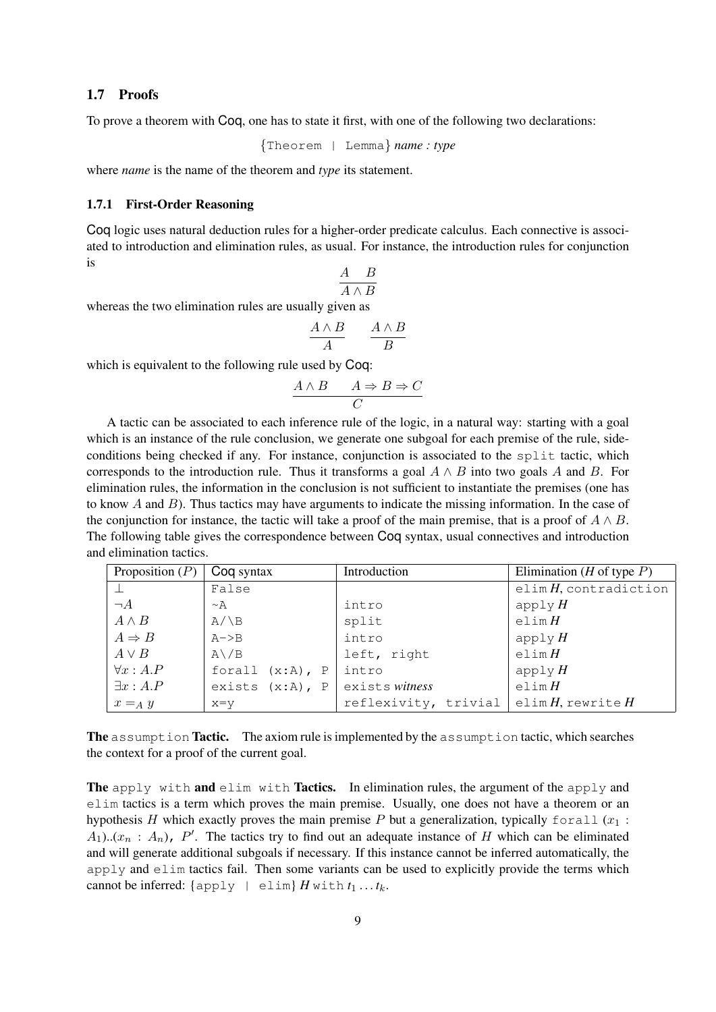### 1.7 Proofs

To prove a theorem with Coq, one has to state it first, with one of the following two declarations:

{Theorem | Lemma} *name : type*

where *name* is the name of the theorem and *type* its statement.

#### 1.7.1 First-Order Reasoning

Coq logic uses natural deduction rules for a higher-order predicate calculus. Each connective is associated to introduction and elimination rules, as usual. For instance, the introduction rules for conjunction is

$$
\frac{A\quad B}{A\wedge B}
$$

whereas the two elimination rules are usually given as

$$
\frac{A \wedge B}{A} \qquad \frac{A \wedge B}{B}
$$

which is equivalent to the following rule used by Coq:

$$
\begin{array}{c}\nA \wedge B \quad A \Rightarrow B \Rightarrow C \\
C\n\end{array}
$$

A tactic can be associated to each inference rule of the logic, in a natural way: starting with a goal which is an instance of the rule conclusion, we generate one subgoal for each premise of the rule, sideconditions being checked if any. For instance, conjunction is associated to the split tactic, which corresponds to the introduction rule. Thus it transforms a goal  $A \wedge B$  into two goals A and B. For elimination rules, the information in the conclusion is not sufficient to instantiate the premises (one has to know  $A$  and  $B$ ). Thus tactics may have arguments to indicate the missing information. In the case of the conjunction for instance, the tactic will take a proof of the main premise, that is a proof of  $A \wedge B$ . The following table gives the correspondence between Coq syntax, usual connectives and introduction and elimination tactics.

| Proposition $(P)$ | Coq syntax         | Introduction         | Elimination ( <i>H</i> of type $P$ ) |
|-------------------|--------------------|----------------------|--------------------------------------|
|                   | False              |                      | elim $H$ , contradiction             |
| $\neg A$          | $\sim$ A           | intro                | apply $H$                            |
| $A \wedge B$      | $A/\ B$            | split                | elim $H$                             |
| $A \Rightarrow B$ | $A->B$             | intro                | apply $H$                            |
| $A \vee B$        | $A \backslash B$   | left, right          | elim H                               |
| $\forall x:A.P$   | forall $(x:A)$ , P | intro                | apply $H$                            |
| $\exists x:A.P$   | exists $(x:A), P$  | exists witness       | elim $H$                             |
| $x =_A y$         | $x=y$              | reflexivity, trivial | elim $H$ , rewrite $H$               |

The assumption Tactic. The axiom rule is implemented by the assumption tactic, which searches the context for a proof of the current goal.

The apply with and elim with Tactics. In elimination rules, the argument of the apply and elim tactics is a term which proves the main premise. Usually, one does not have a theorem or an hypothesis H which exactly proves the main premise P but a generalization, typically forall  $(x_1 :$  $A_1$ ... $(x_n : A_n)$ , P'. The tactics try to find out an adequate instance of H which can be eliminated and will generate additional subgoals if necessary. If this instance cannot be inferred automatically, the apply and elim tactics fail. Then some variants can be used to explicitly provide the terms which cannot be inferred:  $\{\text{apply } | \text{elim}\}$  *H* with  $t_1 \ldots t_k$ .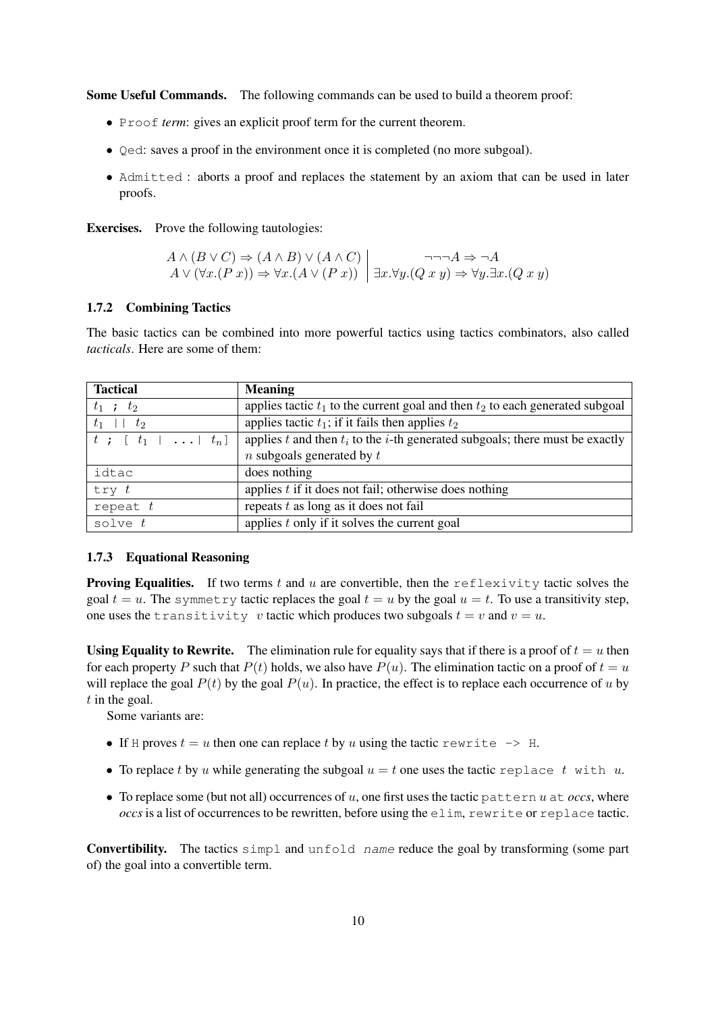Some Useful Commands. The following commands can be used to build a theorem proof:

- Proof *term*: gives an explicit proof term for the current theorem.
- Qed: saves a proof in the environment once it is completed (no more subgoal).
- Admitted : aborts a proof and replaces the statement by an axiom that can be used in later proofs.

Exercises. Prove the following tautologies:

$$
A \land (B \lor C) \Rightarrow (A \land B) \lor (A \land C)
$$
  
\n
$$
A \lor (\forall x.(P \ x)) \Rightarrow \forall x.(A \lor (P \ x))
$$
  
\n
$$
\exists x. \forall y.(Q \ x \ y) \Rightarrow \forall y. \exists x.(Q \ x \ y)
$$

### 1.7.2 Combining Tactics

The basic tactics can be combined into more powerful tactics using tactics combinators, also called *tacticals*. Here are some of them:

| <b>Tactical</b>                    | <b>Meaning</b>                                                                      |
|------------------------------------|-------------------------------------------------------------------------------------|
| $t_1$ ; $t_2$                      | applies tactic $t_1$ to the current goal and then $t_2$ to each generated subgoal   |
| $t_2$<br>$t_1$                     | applies tactic $t_1$ ; if it fails then applies $t_2$                               |
| $t$ ; $[t_1 \mid \ldots \mid t_n]$ | applies $t$ and then $t_i$ to the $i$ -th generated subgoals; there must be exactly |
|                                    | $n$ subgoals generated by $t$                                                       |
| idtac                              | does nothing                                                                        |
| try $t$                            | applies $t$ if it does not fail; otherwise does nothing                             |
| repeat $t$                         | repeats $t$ as long as it does not fail                                             |
| solve $t$                          | applies $t$ only if it solves the current goal                                      |

#### 1.7.3 Equational Reasoning

**Proving Equalities.** If two terms t and u are convertible, then the reflexivity tactic solves the goal  $t = u$ . The symmetry tactic replaces the goal  $t = u$  by the goal  $u = t$ . To use a transitivity step, one uses the transitivity v tactic which produces two subgoals  $t = v$  and  $v = u$ .

Using Equality to Rewrite. The elimination rule for equality says that if there is a proof of  $t = u$  then for each property P such that  $P(t)$  holds, we also have  $P(u)$ . The elimination tactic on a proof of  $t = u$ will replace the goal  $P(t)$  by the goal  $P(u)$ . In practice, the effect is to replace each occurrence of u by  $t$  in the goal.

Some variants are:

- If H proves  $t = u$  then one can replace t by u using the tactic rewrite  $\rightarrow$  H.
- To replace t by u while generating the subgoal  $u = t$  one uses the tactic replace t with u.
- To replace some (but not all) occurrences of u, one first uses the tactic pattern u at  $\alpha$ ccs, where *occs* is a list of occurrences to be rewritten, before using the elim, rewrite or replace tactic.

Convertibility. The tactics simpl and unfold name reduce the goal by transforming (some part of) the goal into a convertible term.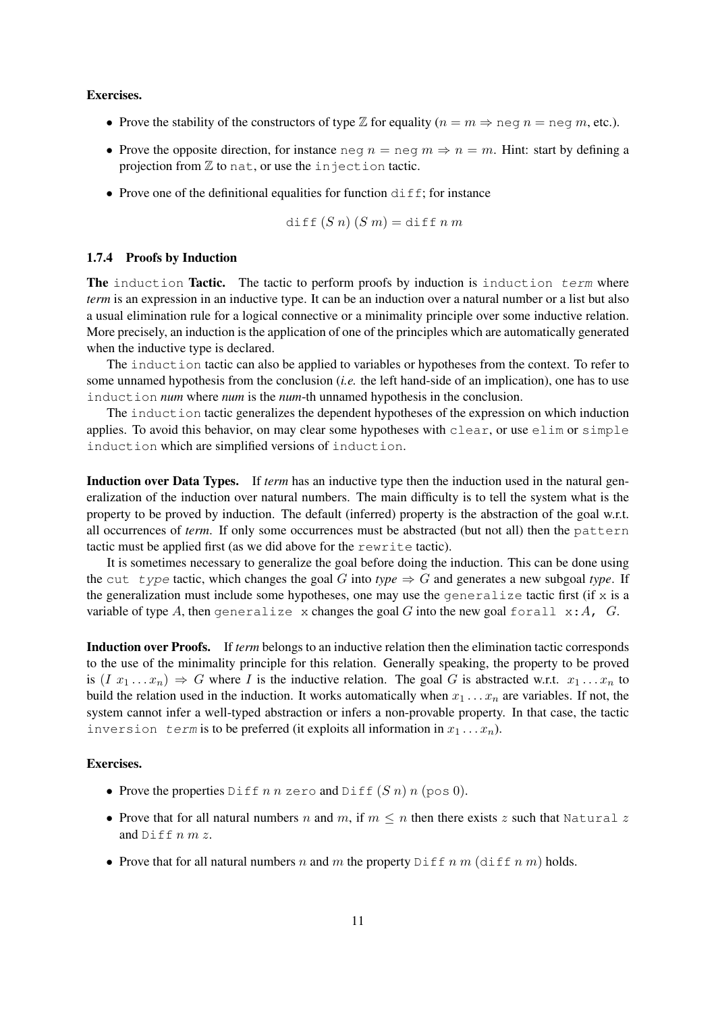#### Exercises.

- Prove the stability of the constructors of type  $\mathbb Z$  for equality  $(n = m \Rightarrow$  neg  $n =$  neg  $m$ , etc.).
- Prove the opposite direction, for instance neg  $n =$  neg  $m \Rightarrow n = m$ . Hint: start by defining a projection from  $Z$  to nat, or use the injection tactic.
- Prove one of the definitional equalities for function  $diff$ ; for instance

$$
\text{diff}(S\ n)(S\ m) = \text{diff}\ n\ m
$$

## 1.7.4 Proofs by Induction

**The** induction Tactic. The tactic to perform proofs by induction is induction term where *term* is an expression in an inductive type. It can be an induction over a natural number or a list but also a usual elimination rule for a logical connective or a minimality principle over some inductive relation. More precisely, an induction is the application of one of the principles which are automatically generated when the inductive type is declared.

The induction tactic can also be applied to variables or hypotheses from the context. To refer to some unnamed hypothesis from the conclusion (*i.e.* the left hand-side of an implication), one has to use induction *num* where *num* is the *num*-th unnamed hypothesis in the conclusion.

The induction tactic generalizes the dependent hypotheses of the expression on which induction applies. To avoid this behavior, on may clear some hypotheses with clear, or use elim or simple induction which are simplified versions of induction.

Induction over Data Types. If *term* has an inductive type then the induction used in the natural generalization of the induction over natural numbers. The main difficulty is to tell the system what is the property to be proved by induction. The default (inferred) property is the abstraction of the goal w.r.t. all occurrences of *term*. If only some occurrences must be abstracted (but not all) then the pattern tactic must be applied first (as we did above for the rewrite tactic).

It is sometimes necessary to generalize the goal before doing the induction. This can be done using the cut type tactic, which changes the goal G into  $type \Rightarrow G$  and generates a new subgoal *type*. If the generalization must include some hypotheses, one may use the generalize tactic first (if  $x$  is a variable of type A, then generalize x changes the goal G into the new goal forall  $x:A$ , G.

Induction over Proofs. If *term* belongs to an inductive relation then the elimination tactic corresponds to the use of the minimality principle for this relation. Generally speaking, the property to be proved is  $(I x_1 ... x_n) \Rightarrow G$  where I is the inductive relation. The goal G is abstracted w.r.t.  $x_1 ... x_n$  to build the relation used in the induction. It works automatically when  $x_1 \ldots x_n$  are variables. If not, the system cannot infer a well-typed abstraction or infers a non-provable property. In that case, the tactic inversion term is to be preferred (it exploits all information in  $x_1 \ldots x_n$ ).

## Exercises.

- Prove the properties Diff n n zero and Diff  $(S n) n$  (pos 0).
- Prove that for all natural numbers n and m, if  $m \leq n$  then there exists z such that Natural z and  $\text{Diff}$   $n \, m \, z$ .
- Prove that for all natural numbers n and m the property Diff n m (diff n m) holds.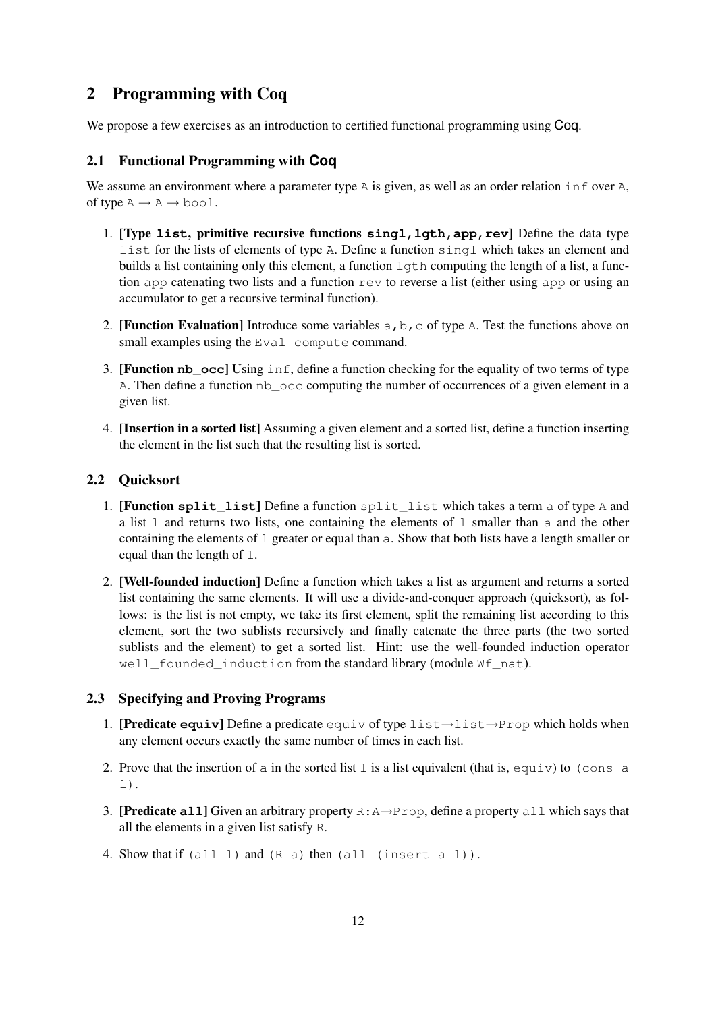# 2 Programming with Coq

We propose a few exercises as an introduction to certified functional programming using Coq.

## 2.1 Functional Programming with **Coq**

We assume an environment where a parameter type A is given, as well as an order relation inf over A, of type  $A \rightarrow A \rightarrow$  bool.

- 1. [Type **list**, primitive recursive functions **singl,lgth,app,rev**] Define the data type list for the lists of elements of type A. Define a function singl which takes an element and builds a list containing only this element, a function  $l$ qth computing the length of a list, a function app catenating two lists and a function rev to reverse a list (either using app or using an accumulator to get a recursive terminal function).
- 2. [Function Evaluation] Introduce some variables  $a, b, c$  of type A. Test the functions above on small examples using the Eval compute command.
- 3. [Function **nb\_occ**] Using inf, define a function checking for the equality of two terms of type A. Then define a function nb\_occ computing the number of occurrences of a given element in a given list.
- 4. [Insertion in a sorted list] Assuming a given element and a sorted list, define a function inserting the element in the list such that the resulting list is sorted.

## 2.2 Quicksort

- 1. [Function **split\_list**] Define a function split\_list which takes a term a of type A and a list 1 and returns two lists, one containing the elements of 1 smaller than a and the other containing the elements of  $\perp$  greater or equal than  $\triangle$ . Show that both lists have a length smaller or equal than the length of l.
- 2. [Well-founded induction] Define a function which takes a list as argument and returns a sorted list containing the same elements. It will use a divide-and-conquer approach (quicksort), as follows: is the list is not empty, we take its first element, split the remaining list according to this element, sort the two sublists recursively and finally catenate the three parts (the two sorted sublists and the element) to get a sorted list. Hint: use the well-founded induction operator well\_founded\_induction from the standard library (module Wf\_nat).

## 2.3 Specifying and Proving Programs

- 1. [Predicate **equiv**] Define a predicate equiv of type list→list→Prop which holds when any element occurs exactly the same number of times in each list.
- 2. Prove that the insertion of a in the sorted list  $1$  is a list equivalent (that is, equiv) to (cons a l).
- 3. [Predicate **all**] Given an arbitrary property R:A→Prop, define a property all which says that all the elements in a given list satisfy R.
- 4. Show that if (all l) and (R a) then (all (insert a l)).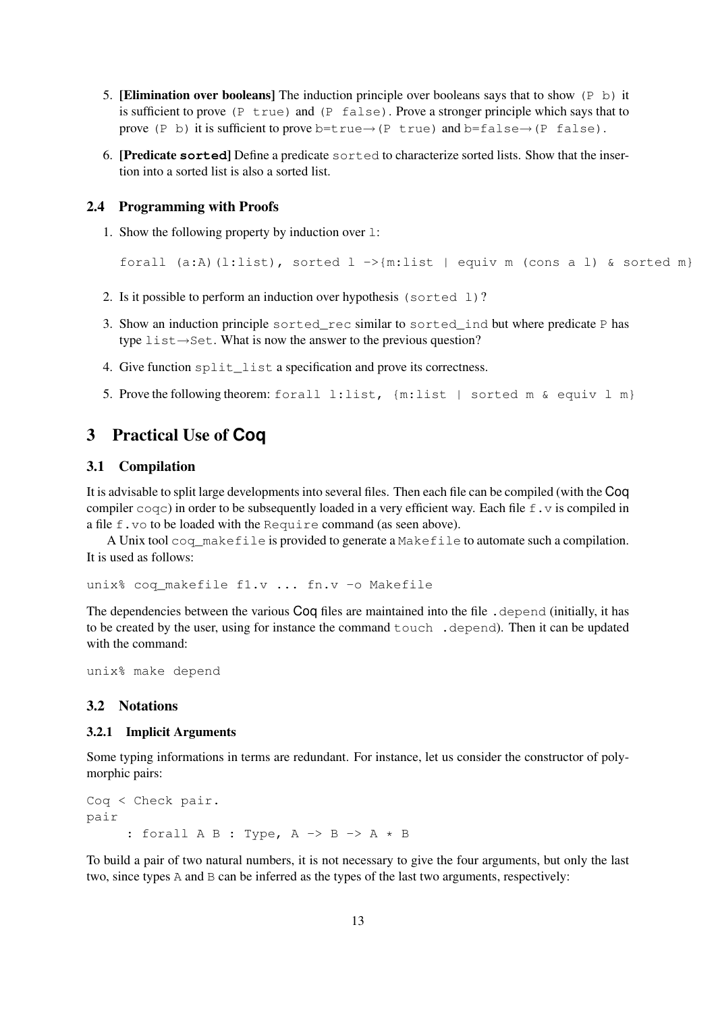- 5. **[Elimination over booleans]** The induction principle over booleans says that to show  $(P \t b)$  it is sufficient to prove (P true) and (P false). Prove a stronger principle which says that to prove (P b) it is sufficient to prove b=true→(P true) and b=false→(P false).
- 6. [Predicate **sorted**] Define a predicate sorted to characterize sorted lists. Show that the insertion into a sorted list is also a sorted list.

## 2.4 Programming with Proofs

1. Show the following property by induction over l:

```
forall (a:A)(l:list), sorted l \rightarrow{m:list | equiv m (cons a l) & sorted m}
```
- 2. Is it possible to perform an induction over hypothesis (sorted  $1$ )?
- 3. Show an induction principle sorted rec similar to sorted ind but where predicate P has type list→Set. What is now the answer to the previous question?
- 4. Give function split\_list a specification and prove its correctness.
- 5. Prove the following theorem: forall l:list,  $\{m:$  list | sorted m & equiv l m}

## 3 Practical Use of **Coq**

## 3.1 Compilation

It is advisable to split large developments into several files. Then each file can be compiled (with the Coq compiler  $\text{cogc}$ ) in order to be subsequently loaded in a very efficient way. Each file f. v is compiled in a file f.vo to be loaded with the Require command (as seen above).

A Unix tool coq\_makefile is provided to generate a Makefile to automate such a compilation. It is used as follows:

unix% coq\_makefile f1.v ... fn.v -o Makefile

The dependencies between the various Coq files are maintained into the file . depend (initially, it has to be created by the user, using for instance the command touch .depend). Then it can be updated with the command:

unix% make depend

## 3.2 Notations

## 3.2.1 Implicit Arguments

Some typing informations in terms are redundant. For instance, let us consider the constructor of polymorphic pairs:

```
Coq < Check pair.
pair
       : forall A B : Type, A \rightarrow B \rightarrow A * B
```
To build a pair of two natural numbers, it is not necessary to give the four arguments, but only the last two, since types A and B can be inferred as the types of the last two arguments, respectively: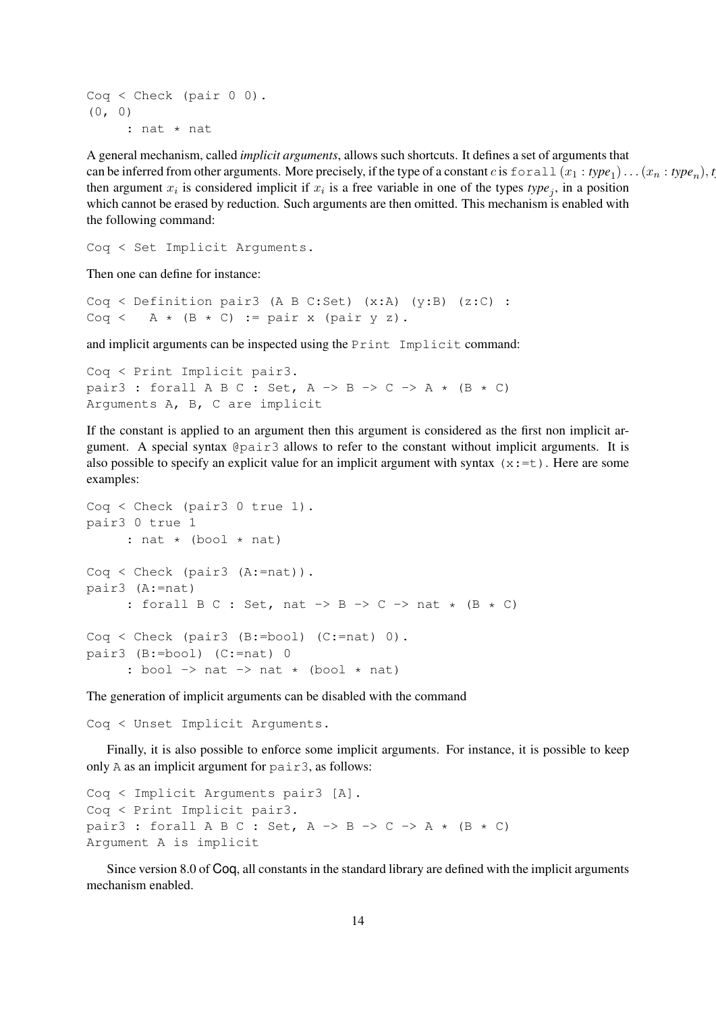$Cog < Check$  (pair  $0 0$ ). (0, 0) : nat \* nat

A general mechanism, called *implicit arguments*, allows such shortcuts. It defines a set of arguments that can be inferred from other arguments. More precisely, if the type of a constant c is  $\text{forall } x_1 : type_1 \text{)} \dots (x_n : type_n \text{)}$ , *t* then argument  $x_i$  is considered implicit if  $x_i$  is a free variable in one of the types  $type_j$ , in a position which cannot be erased by reduction. Such arguments are then omitted. This mechanism is enabled with the following command:

Coq < Set Implicit Arguments.

Then one can define for instance:

Coq < Definition pair3 (A B C:Set) (x:A) (y:B) (z:C) : Coq < A \*  $(B * C)$  := pair x (pair y z).

and implicit arguments can be inspected using the Print Implicit command:

```
Coq < Print Implicit pair3.
pair3 : forall A B C : Set, A \rightarrow B \rightarrow C \rightarrow A \star (B \star C)
Arguments A, B, C are implicit
```
If the constant is applied to an argument then this argument is considered as the first non implicit argument. A special syntax @pair3 allows to refer to the constant without implicit arguments. It is also possible to specify an explicit value for an implicit argument with syntax  $(x:=t)$ . Here are some examples:

```
Coq < Check (pair3 0 true 1).
pair3 0 true 1
      : nat \star (bool \star nat)
Coq < Check (pair3 (A:=nat)).
pair3 (A:=nat)
      : forall B C : Set, nat \rightarrow B \rightarrow C \rightarrow nat \star (B \star C)
Coq < Check (pair3 (B:=bool) (C:=nat) 0).
pair3 (B:=bool) (C:=nat) 0
      : bool \rightarrow nat \rightarrow nat \star (bool \star nat)
```
The generation of implicit arguments can be disabled with the command

Coq < Unset Implicit Arguments.

Finally, it is also possible to enforce some implicit arguments. For instance, it is possible to keep only A as an implicit argument for pair3, as follows:

```
Coq < Implicit Arguments pair3 [A].
Coq < Print Implicit pair3.
pair3 : forall A B C : Set, A \rightarrow B \rightarrow C \rightarrow A \star (B \star C)
Argument A is implicit
```
Since version 8.0 of Coq, all constants in the standard library are defined with the implicit arguments mechanism enabled.